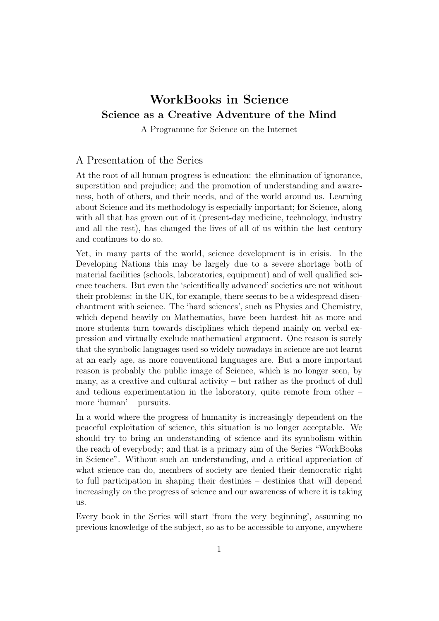## WorkBooks in Science Science as a Creative Adventure of the Mind

A Programme for Science on the Internet

## A Presentation of the Series

At the root of all human progress is education: the elimination of ignorance, superstition and prejudice; and the promotion of understanding and awareness, both of others, and their needs, and of the world around us. Learning about Science and its methodology is especially important; for Science, along with all that has grown out of it (present-day medicine, technology, industry and all the rest), has changed the lives of all of us within the last century and continues to do so.

Yet, in many parts of the world, science development is in crisis. In the Developing Nations this may be largely due to a severe shortage both of material facilities (schools, laboratories, equipment) and of well qualified science teachers. But even the 'scientifically advanced' societies are not without their problems: in the UK, for example, there seems to be a widespread disenchantment with science. The 'hard sciences', such as Physics and Chemistry, which depend heavily on Mathematics, have been hardest hit as more and more students turn towards disciplines which depend mainly on verbal expression and virtually exclude mathematical argument. One reason is surely that the symbolic languages used so widely nowadays in science are not learnt at an early age, as more conventional languages are. But a more important reason is probably the public image of Science, which is no longer seen, by many, as a creative and cultural activity – but rather as the product of dull and tedious experimentation in the laboratory, quite remote from other – more 'human' – pursuits.

In a world where the progress of humanity is increasingly dependent on the peaceful exploitation of science, this situation is no longer acceptable. We should try to bring an understanding of science and its symbolism within the reach of everybody; and that is a primary aim of the Series "WorkBooks in Science". Without such an understanding, and a critical appreciation of what science can do, members of society are denied their democratic right to full participation in shaping their destinies – destinies that will depend increasingly on the progress of science and our awareness of where it is taking us.

Every book in the Series will start 'from the very beginning', assuming no previous knowledge of the subject, so as to be accessible to anyone, anywhere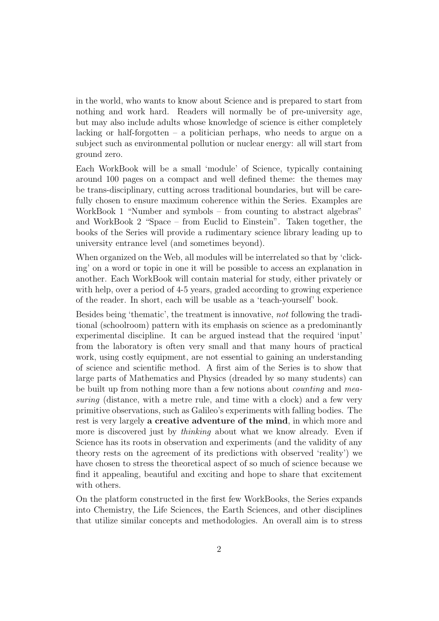in the world, who wants to know about Science and is prepared to start from nothing and work hard. Readers will normally be of pre-university age, but may also include adults whose knowledge of science is either completely lacking or half-forgotten  $-$  a politician perhaps, who needs to argue on a subject such as environmental pollution or nuclear energy: all will start from ground zero.

Each WorkBook will be a small 'module' of Science, typically containing around 100 pages on a compact and well defined theme: the themes may be trans-disciplinary, cutting across traditional boundaries, but will be carefully chosen to ensure maximum coherence within the Series. Examples are WorkBook 1 "Number and symbols – from counting to abstract algebras" and WorkBook 2 "Space – from Euclid to Einstein". Taken together, the books of the Series will provide a rudimentary science library leading up to university entrance level (and sometimes beyond).

When organized on the Web, all modules will be interrelated so that by 'clicking' on a word or topic in one it will be possible to access an explanation in another. Each WorkBook will contain material for study, either privately or with help, over a period of 4-5 years, graded according to growing experience of the reader. In short, each will be usable as a 'teach-yourself' book.

Besides being 'thematic', the treatment is innovative, not following the traditional (schoolroom) pattern with its emphasis on science as a predominantly experimental discipline. It can be argued instead that the required 'input' from the laboratory is often very small and that many hours of practical work, using costly equipment, are not essential to gaining an understanding of science and scientific method. A first aim of the Series is to show that large parts of Mathematics and Physics (dreaded by so many students) can be built up from nothing more than a few notions about *counting* and *mea*suring (distance, with a metre rule, and time with a clock) and a few very primitive observations, such as Galileo's experiments with falling bodies. The rest is very largely a creative adventure of the mind, in which more and more is discovered just by *thinking* about what we know already. Even if Science has its roots in observation and experiments (and the validity of any theory rests on the agreement of its predictions with observed 'reality') we have chosen to stress the theoretical aspect of so much of science because we find it appealing, beautiful and exciting and hope to share that excitement with others.

On the platform constructed in the first few WorkBooks, the Series expands into Chemistry, the Life Sciences, the Earth Sciences, and other disciplines that utilize similar concepts and methodologies. An overall aim is to stress